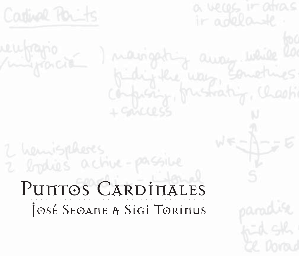

# PUNTOS CARDINALES JOSÉ SEOANE & SIGI TORINUS

2 bydies active-passible

published was somet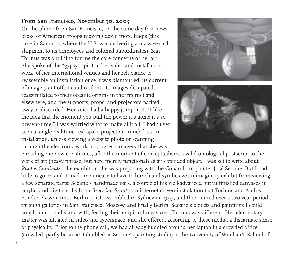## **From San Francisco, November 30, 2003**

On the phone from San Francisco, on the same day that news broke of American troops mowing down more Iraqis (this time in Samarra, where the U.S. was delivering a massive cash shipment to its employees and colonial subordinates), Sigi Torinus was outlining for me the core concerns of her art. She spoke of the "gypsy" spirit in her video and installation work; of her international venues and her reluctance to reassemble an installation once it was dismantled, its current of imagery cut off, its audio silent, its images dissipated, reassimilated to their oceanic origins in the internet and elsewhere, and the supports, props, and projectors packed away or discarded. Her voice had a happy jump in it. "I like the idea that the moment you pull the power it's gone; it's so present-time." I was worried what to make of it all. I hadn't yet seen a single real-time real-space projection, much less an installation, unless viewing a website photo or scanning through the electronic work-in-progress imagery that she was





e-mailing me now constitutes, after the moment of conceptualism, a valid ontological postscript to the work of art (heavy phrase, but here merely functional) as an extended object. I was set to write about *Puntos Cardinales*, the exhibition she was preparing with the Cuban-born painter José Seoane. But I had little to go on and it made me uneasy to have to hunch and synthesize an imaginary exhibit from viewing a few separate parts: Seoane's handmade oars, a couple of his well-advanced but unfinished canvases in acrylic, and digital stills from *Browsing Beauty*, an internet-driven installation that Torinus and Andrea Sunder-Plassmann, a Berlin artist, assembled in Sydney in 1997, and then toured over a two-year period through galleries in San Francisco, Moscow, and finally Berlin. Seoane's objects and paintings I could smell, touch, and stand with, feeling their empirical measures. Torinus was different. Her elementary matter was situated in video and cyberspace, and she offered, according to these media, a discarnate sense of physicality. Prior to the phone call, we had already huddled around her laptop in a crowded office (crowded, partly because it doubled as Seoane's painting studio) at the University of Windsor's School of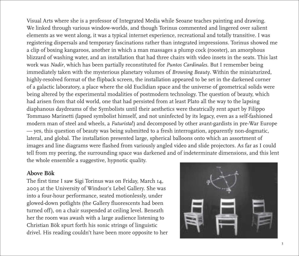Visual Arts where she is a professor of Integrated Media while Seoane teaches painting and drawing. We linked through various window-worlds, and though Torinus commented and lingered over salient elements as we went along, it was a typical internet experience, recreational and totally transitive. I was registering dispersals and temporary fascinations rather than integrated impressions. Torinus showed me a clip of boxing kangaroos, another in which a man massages a plump cock (rooster), an amorphous blizzard of washing water, and an installation that had three chairs with video insets in the seats. This last work was *Nadir*, which has been partially reconstituted for *Puntos Cardinales*. But I remember being immediately taken with the mysterious planetary volumes of *Browsing Beauty*. Within the miniaturized, highly-resolved format of the flipback screen, the installation appeared to be set in the darkened corner of a galactic laboratory, a place where the old Euclidian space and the universe of geometrical solids were being altered by the experimental modalities of postmodern technology. The question of beauty, which had arisen from that old world, one that had persisted from at least Plato all the way to the lapsing diaphanous daydreams of the Symbolists until their aesthetics were theatrically rent apart by Filippo Tommaso Marinetti (lapsed symbolist himself, and not uninfected by its legacy, even as a self-fashioned modern man of steel and wheels, a *Futurista*!) and decomposed by other avant-gardists in pre-War Europe — yes, this question of beauty was being submitted to a fresh interrogation, apparently non-dogmatic, lateral, and global. The installation presented large, spherical balloons onto which an assortment of images and line diagrams were flashed from variously angled video and slide projectors. As far as I could tell from my peering, the surrounding space was darkened and of indeterminate dimensions, and this lent the whole ensemble a suggestive, hypnotic quality.

#### **Above Bök**

The first time I saw Sigi Torinus was on Friday, March 14, 2003 at the University of Windsor's Lebel Gallery. She was into a four-hour performance, seated motionlessly, under glowed-down potlights (the Gallery fluorescents had been turned off), on a chair suspended at ceiling level. Beneath her the room was awash with a large audience listening to Christian Bök spurt forth his sonic strings of linguistic drivel. His reading couldn't have been more opposite to her

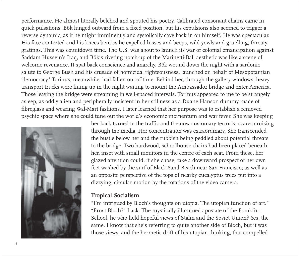performance. He almost literally belched and spouted his poetry. Calibrated consonant chains came in quick pulsations. Bök lunged outward from a fixed position, but his expulsions also seemed to trigger a reverse dynamic, as if he might imminently and systolically cave back in on himself. He was spectacular. His face contorted and his knees bent as he expelled hisses and beeps, wild yowls and gruelling, throaty gratings. This was countdown time. The U.S. was about to launch its war of colonial emancipation against Saddam Hussein's Iraq, and Bök's riveting notch-up of the Marinetti-Ball aesthetic was like a scene of welcome revenance. It spat back conscience and anarchy. Bök wound down the night with a sardonic salute to George Bush and his crusade of homicidal righteousness, launched on behalf of Mesopotamian 'democracy.' Torinus, meanwhile, had fallen out of time. Behind her, through the gallery windows, heavy transport trucks were lining up in the night waiting to mount the Ambassador bridge and enter America. Those leaving the bridge were streaming in well-spaced intervals. Torinus appeared to me to be strangely asleep, as oddly alien and peripherally insistent in her stillness as a Duane Hanson dummy made of fibreglass and wearing Wal-Mart fashions. I later learned that her purpose was to establish a removed psychic space where she could tune out the world's economic momentum and war fever. She was keeping



her back turned to the traffic and the now-customary terrorist scares cruising through the media. Her concentration was extraordinary. She transcended the bustle below her and the rubbish being peddled about potential threats to the bridge. Two hardwood, schoolhouse chairs had been placed beneath her, inset with small monitors in the centre of each seat. From these, her glazed attention could, if she chose, take a downward prospect of her own feet washed by the surf of Black Sand Beach near San Francisco; as well as an opposite perspective of the tops of nearby eucalyptus trees put into a dizzying, circular motion by the rotations of the video camera.

#### **Tropical Socialism**

"I'm intrigued by Bloch's thoughts on utopia. The utopian function of art." "Ernst Bloch?" I ask. The mystically-illumined apostate of the Frankfurt School, he who held hopeful views of Stalin and the Soviet Union? Yes, the same. I know that she's referring to quite another side of Bloch, but it was those views, and the hermetic drift of his utopian thinking, that compelled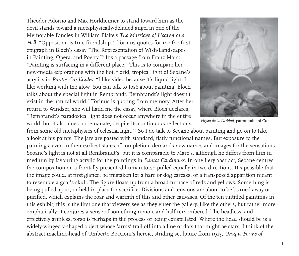Theodor Adorno and Max Horkheimer to stand toward him as the devil stands toward a metaphysically-deluded angel in one of the Memorable Fancies in William Blake's *The Marriage of Heaven and* Hell: "Opposition is true friendship."<sup>1</sup> Torinus quotes for me the first epigraph in Bloch's essay "The Representation of Wish-Landscapes in Painting, Opera, and Poetry."2 It's a passage from Franz Marc: "Painting is surfacing in a different place." This is to compare her new-media explorations with the hot, florid, tropical light of Seoane's acrylics in *Puntos Cardinales*. "I like video because it's liquid light. I like working with the glow. You can talk to José about painting. Bloch talks about the special light in Rembrandt. Rembrandt's light doesn't exist in the natural world." Torinus is quoting from memory. After her return to Windsor, she will hand me the essay, where Bloch declares, "Rembrandt's paradoxical light does not occur anywhere in the entire world, but it also does not emanate, despite its continuous reflections,



*Virgen de la Caridad*, patron saint of Cuba

from some old metaphysics of celestial light."<sup>3</sup> So I do talk to Seoane about painting and go on to take a look at his paints. The jars are pasted with standard, flatly functional names. But exposure to the paintings, even in their earliest states of completion, demands new names and images for the sensations. Seoane's light is not at all Rembrandt's, but it is comparable to Marc's, although he differs from him in medium by favouring acrylic for the paintings in *Puntos Cardinales*. In one fiery abstract, Seoane centres the composition on a frontally-presented human torso pulled equally in two directions. It's possible that the image could, at first glance, be mistaken for a hare or dog carcass, or a transposed apparition meant to resemble a goat's skull. The figure floats up from a broad furnace of reds and yellows. Something is being pulled apart, or held in place for sacrifice. Divisions and tensions are about to be burned away or purified, which explains the roar and warmth of this and other canvases. Of the ten untitled paintings in this exhibit, this is the first one that viewers see as they enter the gallery. Like the others, but rather more emphatically, it conjures a sense of something remote and half-remembered. The headless, and effectively armless, torso is perhaps in the process of being constellated. Where the head should be is a widely-winged v-shaped object whose 'arms' trail off into a line of dots that might be stars. I think of the abstract machine-head of Umberto Boccioni's heroic, striding sculpture from 1913, *Unique Forms of*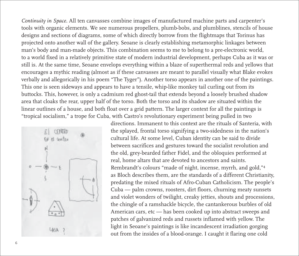*Continuity in Space*. All ten canvasses combine images of manufactured machine parts and carpenter's tools with organic elements. We see numerous propellers, plumb-bobs, and plumblines, stencils of house designs and sections of diagrams, some of which directly borrow from the flightmaps that Torinus has projected onto another wall of the gallery. Seoane is clearly establishing metamorphic linkages between man's body and man-made objects. This combination seems to me to belong to a pre-electronic world, to a world fixed in a relatively primitive state of modern industrial development, perhaps Cuba as it was or still is. At the same time, Seoane envelops everything within a blaze of superthermal reds and yellows that encourages a mythic reading (almost as if these canvasses are meant to parallel visually what Blake evokes verbally and allegorically in his poem "The Tyger"). Another torso appears in another one of the paintings. This one is seen sideways and appears to have a tensile, whip-like monkey tail curling out from its buttocks. This, however, is only a cadmium red ghost-tail that extends beyond a loosely brushed shadow area that cloaks the rear, upper half of the torso. Both the torso and its shadow are situated within the linear outlines of a house, and both float over a grid pattern. The larger context for all the paintings is "tropical socialism," a trope for Cuba, with Castro's revolutionary experiment being pulled in two



directions. Immanent to this context are the rituals of Santeria, with the splayed, frontal torso signifying a two-sidedness in the nation's cultural life. At some level, Cuban identity can be said to divide between sacrifices and gestures toward the socialist revolution and the old, grey-bearded father Fidel, and the obloquies performed at real, home altars that are devoted to ancestors and saints. Rembrandt's colours "made of night, incense, myrrh, and gold,"4 as Bloch describes them, are the standards of a different Christianity, predating the mixed rituals of Afro-Cuban Catholicism. The people's Cuba — palm crowns, roosters, dirt floors, churning meaty sunsets and violet wonders of twilight, creaky jetties, shouts and processions, the chingle of a ramshackle bicycle, the cantankerous burbles of old American cars, etc — has been cooked up into abstract sweeps and patches of galvanized reds and russets inflamed with yellow. The light in Seoane's paintings is like incandescent irradiation gorging out from the insides of a blood-orange. I caught it flaring one cold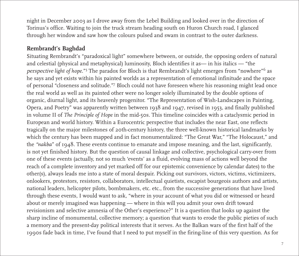night in December 2003 as I drove away from the Lebel Building and looked over in the direction of Torinus's office. Waiting to join the truck stream heading south on Huron Church road, I glanced through her window and saw how the colours pulsed and swam in contrast to the outer darkness.

# **Rembrandt's Baghdad**

Situating Rembrandt's "paradoxical light" somewhere between, or outside, the opposing orders of natural and celestial (physical and metaphysical) luminosity, Bloch identifies it as— in his italics — "the perspective light of hope."<sup>5</sup> The paradox for Bloch is that Rembrandt's light emerges from "nowhere"<sup>6</sup> as he says and yet exists within his painted worlds as a representation of emotional infinitude and the space of personal "closeness and solitude."7 Bloch could not have foreseen where his reasoning might lead once the real world as well as its painted other were no longer solely illuminated by the double options of organic, diurnal light, and its heavenly progenitor. "The Representation of Wish-Landscapes in Painting, Opera, and Poetry" was apparently written between 1938 and 1947, revised in 1953, and finally published in volume II of *The Principle of Hope* in the mid-50s. This timeline coincides with a cataclysmic period in European and world history. Within a Eurocentric perspective that includes the near East, one reflects tragically on the major milestones of 20th-century history, the three well-known historical landmarks by which the century has been mapped and in fact monumentalized: "The Great War," "The Holocaust," and the "*nakba*" of 1948. These events continue to emanate and impose meaning, and the last, significantly, is not yet finished history. But the question of causal linkage and collective, psychological carry-over from one of these events (actually, not so much 'events' as a fluid, evolving mass of actions well beyond the reach of a complete inventory and yet marked off for our epistemic convenience by calendar dates) to the other(s), always leads me into a state of moral despair. Picking out survivors, victors, victims, victimizers, onlookers, protestors, resistors, collaborators, intellectual quietists, escapist bourgeois authors and artists, national leaders, helicopter pilots, bombmakers, etc. etc., from the successive generations that have lived through these events, I would want to ask, "where in your account of what you did or witnessed or heard about or merely imagined was happening — where in this will you admit your own drift toward revisionism and selective amnesia of the Other's experience?" It is a question that looks up against the sharp incline of monumental, collective memory; a question that wants to erode the public pieties of such a memory and the present-day political interests that it serves. As the Balkan wars of the first half of the 1990s fade back in time, I've found that I need to put myself in the firing-line of this very question. As for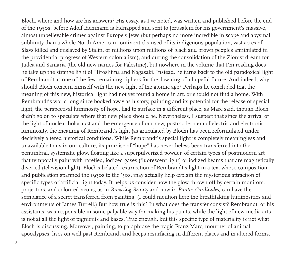Bloch, where and how are his answers? His essay, as I've noted, was written and published before the end of the 1950s, before Adolf Eichmann is kidnapped and sent to Jerusalem for his government's massive, almost unbelievable crimes against Europe's Jews (but perhaps no more incredible in scope and abysmal sublimity than a whole North American continent cleansed of its indigenous population, vast acres of Slavs killed and enslaved by Stalin, or millions upon millions of black and brown peoples annihilated in the providential progress of Western colonialism), and during the consolidation of the Zionist dream for Judea and Samaria (the old new names for Palestine), but nowhere in the volume that I'm reading does he take up the strange light of Hiroshima and Nagasaki. Instead, he turns back to the old paradoxical light of Rembrandt as one of the few remaining ciphers for the dawning of a hopeful future. And indeed, why should Bloch concern himself with the new light of the atomic age? Perhaps he concluded that the meaning of this new, historical light had not yet found a home in art, or should not find a home. With Rembrandt's world long since booked away as history, painting and its potential for the release of special light, the perspectival luminosity of hope, had to surface in a different place, as Marc said, though Bloch didn't go on to speculate where that new place should be. Nevertheless, I suspect that since the arrival of the light of nuclear holocaust and the emergence of our new, postmodern era of electric and electronic luminosity, the meaning of Rembrandt's light (as articulated by Bloch) has been reformulated under decisively altered historical conditions. While Rembrandt's special light is completely meaningless and unavailable to us in our culture, its promise of "hope" has nevertheless been transferred into the penumbral, systematic glow, floating like a superpulverized powder, of certain types of postmodern art that temporally paint with rarefied, iodized gases (fluorescent light) or iodized beams that are magnetically diverted (television light). Bloch's belated resurrection of Rembrandt's light in a text whose composition and publication spanned the 1930s to the '50s, may actually help explain the mysterious attraction of specific types of artificial light today. It helps us consider how the glow thrown off by certain monitors, projectors, and coloured neons, as in *Browsing Beauty* and now in *Puntos Cardinales*, can have the semblance of a secret transferred from painting. (I could mention here the breathtaking luminosities and environments of James Turrell.) But how true is this? In what does the transfer consist? Rembrandt, or his assistants, was responsible in some palpable way for making his paints, while the light of new media arts is not at all the light of pigments and bases. True enough, but this specific type of materiality is not what Bloch is discussing. Moreover, painting, to paraphrase the tragic Franz Marc, mourner of animal apocalypses, lives on well past Rembrandt and keeps resurfacing in different places and in altered forms.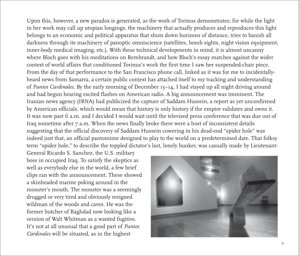Upon this, however, a new paradox is generated, as the work of Torinus demonstrates; for while the light in her work may call up utopian longings, the machinery that actually produces and reproduces this light belongs to an economic and political apparatus that shuts down horizons of distance, tries to banish all darkness through its machinery of panoptic omniscience (satellites, bomb sights, night vision equipment, inner-body medical imaging, etc.). With these technical developments in mind, it is almost uncanny where Bloch goes with his meditations on Rembrandt, and how Bloch's essay matches against the wider context of world affairs that conditioned Torinus's work the first time I saw her suspended-chair piece. From the day of that performance to the San Francisco phone call, linked as it was for me to incidentallyheard news from Samarra, a certain public context has attached itself to my tracking and understanding of *Puntos Cardinales*. By the early morning of December 13–14, I had stayed up all night driving around and had begun hearing excited flashes on American radio. A big announcement was imminent. The Iranian news agency (IRNA) had publicized the capture of Saddam Hussein, a report as yet unconfirmed by American officials, which would mean that history is only history if the empire validates and owns it. It was now past 6 a.m. and I decided I would wait until the televised press conference that was due out of Iraq sometime after 7 a.m. When the news finally broke there were a host of inconsistent details suggesting that the official discovery of Saddam Hussein cowering in his dead-end "spider hole" was indeed just that, an official pantomime designed to play to the world on a predetermined date. That folksy term "spider hole," to describe the toppled dictator's last, lonely bunker, was casually made by Lieutenant-

General Ricardo S. Sanchez, the U.S. military boss in occupied Iraq. To satisfy the skeptics as well as everybody else in the world, a few brief clips ran with the announcement. These showed a skinheaded marine poking around in the monster's mouth. The monster was a seemingly drugged or very tired and obviously resigned wildman of the woods and caves. He was the former butcher of Baghdad now looking like a version of Walt Whitman as a wanted fugitive. It's not at all unusual that a good part of *Puntos Cardinales* will be situated, as in the highest

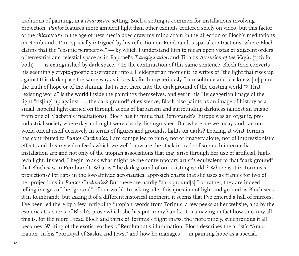traditions of painting, in a *chiaroscuro* setting. Such a setting is common for installations involving projection. *Puntos* features more ambient light than other exhibits centered solely on video, but this factor of the *chiaroscuro* in the age of new media does draw my mind again in the direction of Bloch's meditations on Rembrandt. I'm especially intrigued by his reflection on Rembrandt's spatial contractions, where Bloch claims that the "cosmic perspective" — by which I understand him to mean open vistas or adjacent orders of terrestrial and celestial space as in Raphael's *Transfiguration* and Titian's *Ascension of the Virgin* (1518 for both) — "is extinguished by dark space."8 In the continuation of this same sentence, Bloch then converts his seemingly crypto-gnostic observation into a Heideggerian moment; he writes of "the light that rises up against this dark space the same way as it breaks forth mysteriously from solitude and blackness [to] paint the truth of hope or of the shining that is not there into the dark ground of the existing world."9 That "existing world" is the world inside the paintings themselves, and yet in his Heideggerian image of the light "ris[ing] up against . . . the dark ground" of existence, Bloch also paints us an image of history as a small, hopeful light carried on through aeons of barbarism and surrounding darkness (almost an image from one of Macbeth's meditations). Bloch has in mind that Rembrandt's Europe was an organic, preindustrial society where day and night were clearly distinguished. But where are we today, and can our world orient itself decisively in terms of figures and grounds, lights on darks? Looking at what Torinus has contributed to *Puntos Cardinales*, I am compelled to think, not of imagery alone, nor of impressionistic effects and dreamy video feeds which we well know are the stock in trade of so much intermedia installation art; and not only of the utopian associations that may arise through her use of artificial, hightech light. Instead, I begin to ask what might be the contemporary artist's equivalent to that "dark ground" that Bloch saw in Rembrandt. What is "the dark ground of our existing world"? Where is it in Torinus's projections? Perhaps in the low-altitude aeronautical approach charts that she uses as frames for two of her projections in *Puntos Cardinales*? But these are hardly "dark ground[s]," or rather, they are indeed telling images of the "ground" of our world. In asking after this question of light and ground as Bloch sees it in Rembrandt, but asking it of a different historical moment, it seems that I've entered a hall of mirrors. I've been led there by a few intriguing 'utopian' words from Torinus, a few peeks at her website, and by the esoteric attractions of Bloch's prose which she has put in my hands. It is amazing in fact how uncanny all this is, for the more I read Bloch and think of Torinus's flight maps, the more timely, synchronous it all becomes. Writing of the exotic reaches of Rembrandt's illumination, Bloch describes the artist's "Arabization" in his "portrayal of Saskia and Jews," and how he manages — in painting hope as a special,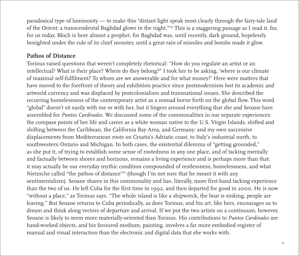paradoxical type of luminosity — to make this "distant light speak most clearly through the fairy-tale land of the Orient; a transcendental Baghdad glows in the night."10 This is a staggering passage as I read it, for, for us today, Bloch is here almost a prophet, for Baghdad was, until recently, dark ground, hopelessly benighted under the rule of its chief monster, until a great rain of missiles and bombs made it glow.

## **Pathos of Distance**

Torinus raised questions that weren't completely rhetorical: "How do you regulate an artist or an intellectual? What is their place? Where do they belong?" I took her to be asking, 'where is our climate of maximal self-fulfilment? To whom are we answerable and for what money?' Here were matters that have moved to the forefront of theory and exhibition practice since postmodernism lost its academic and artworld currency and was displaced by postcolonialism and transnational issues. She described the recurring homelessness of the contemporary artist as a nomad borne forth on the global flow. This word "global" doesn't sit easily with me or with her, but it lingers around everything that she and Seoane have assembled for *Puntos Cardinales*. We discussed some of the commonalities in our separate experiences: the compass points of her life and career as a white woman native to the U.S. Virgin Islands, shifted and shifting between the Caribbean, the California Bay Area, and Germany; and my own successive displacements from Mediterranean roots on Croatia's Adriatic coast, to Italy's industrial north, to southwestern Ontario and Michigan. In both cases, the existential dilemma of "getting grounded," as she put it, of trying to establish some sense of rootedness in any one place, and of tacking mentally and factually between shores and horizons, remains a living experience and is perhaps more than that: it may actually be our everyday mythic condition compounded of restlessness, homelessness, and what Nietzsche called "the pathos of distance"11 (though I'm not sure that he meant it with any sentimentalism). Seoane shares in this commonality and has, literally, more first-hand tacking experience than the two of us. He left Cuba for the first time in 1992, and then departed for good in 2000. He is now "without a place," as Torinus says. "The whole island is like a shipwreck, the boat is sinking, people are leaving." But Seoane returns to Cuba periodically, as does Torinus, and his art, like hers, encourages us to dream and think along vectors of departure and arrival. If we put the two artists on a continuum, however, Seoane is likely to seem more materially-oriented than Torinus. His contributions to *Puntos Cardinales* are hand-worked objects, and his favoured medium, painting, involves a far more embodied register of manual and visual interaction than the electronic and digital data that she works with.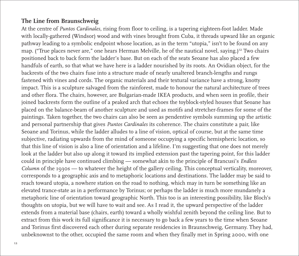# **The Line from Braunschweig**

At the centre of *Puntos Cardinales*, rising from floor to ceiling, is a tapering eighteen-foot ladder. Made with locally-gathered (Windsor) wood and with vines brought from Cuba, it threads upward like an organic pathway leading to a symbolic endpoint whose location, as in the term "utopia," isn't to be found on any map. ("True places never are," one hears Herman Melville, he of the nautical novel, saying.)<sup>12</sup> Two chairs positioned back to back form the ladder's base. But on each of the seats Seoane has also placed a few handfuls of earth, so that what we have here is a ladder nourished by its roots. An Ovidian object, for the backrests of the two chairs fuse into a structure made of nearly unaltered branch-lengths and rungs fastened with vines and cords. The organic materials and their textural variance have a strong, knotty impact. This is a sculpture salvaged from the rainforest, made to honour the natural architecture of trees and other flora. The chairs, however, are Bulgarian-made IKEA products, and when seen in profile, their joined backrests form the outline of a peaked arch that echoes the toyblock-styled houses that Seoane has placed on the balance-beam of another sculpture and used as motifs and stretcher-frames for some of the paintings. Taken together, the two chairs can also be seen as pendentive symbols summing up the artistic and personal partnership that gives *Puntos Cardinales* its coherence. The chairs constitute a pair, like Seoane and Torinus, while the ladder alludes to a line of vision, optical of course, but at the same time subjective, radiating upwards from the mind of someone occupying a specific hemispheric location, so that this line of vision is also a line of orientation and a lifeline. I'm suggesting that one does not merely look at the ladder but also up along it toward its implied extension past the tapering point, for this ladder could in principle have continued climbing — somewhat akin to the principle of Brancusi's *Endless Column* of the 1930s — to whatever the height of the gallery ceiling. This conceptual verticality, moreover, corresponds to a geographic axis and to metaphoric locations and destinations. The ladder may be said to reach toward utopia, a nowhere station on the road to nothing, which may in turn be something like an elevated trance-state as in a performance by Torinus; or perhaps the ladder is much more mundanely a metaphoric line of orientation toward geographic North. This too is an interesting possibility, like Bloch's thoughts on utopia, but we will have to wait and see. As I read it, the upward perspective of the ladder extends from a material base (chairs, earth) toward a wholly wishful zenith beyond the ceiling line. But to extract from this work its full significance it is necessary to go back a few years to the time when Seoane and Torinus first discovered each other during separate residencies in Braunschweig, Germany. They had, unbeknownst to the other, occupied the same room and when they finally met in Spring 2000, with one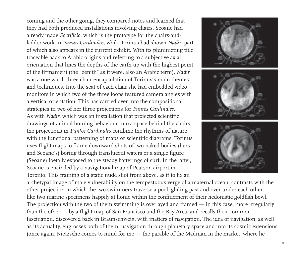coming and the other going, they compared notes and learned that they had both produced installations involving chairs. Seoane had already made *Sacrificio*, which is the prototype for the chairs-andladder work in *Puntos Cardinales*, while Torinus had shown *Nadir*, part of which also appears in the current exhibit. With its plummeting title traceable back to Arabic origins and referring to a subjective axial orientation that lines the depths of the earth up with the highest point of the firmament (the "zenith" as it were, also an Arabic term), *Nadir* was a one-word, three-chair encapsulation of Torinus's main themes and techniques. Into the seat of each chair she had embedded video monitors in which two of the three loops featured camera angles with a vertical orientation. This has carried over into the compositional strategies in two of her three projections for *Puntos Cardinales*. As with *Nadir*, which was an installation that projected scientific drawings of animal homing behaviour into a space behind the chairs, the projections in *Puntos Cardinales* combine the rhythms of nature with the functional patterning of maps or scientific diagrams. Torinus uses flight maps to frame downward shots of two naked bodies (hers and Seoane's) boring through translucent waters or a single figure (Seoane) foetally exposed to the steady batterings of surf. In the latter, Seoane is encircled by a navigational map of Pearson airport in Toronto. This framing of a static nude shot from above, as if to fix an



archetypal image of male vulnerability on the tempestuous verge of a maternal ocean, contrasts with the other projection in which the two swimmers traverse a pool, gliding past and over-under each other, like two marine specimens happily at home within the confinement of their hedonistic goldfish bowl. The projection with the two of them swimming is overlayed and framed — in this case, more irregularly than the other — by a flight map of San Francisco and the Bay Area, and recalls their common fascination, discovered back in Braunschweig, with matters of navigation. The idea of navigation, as well as its actuality, engrosses both of them: navigation through planetary space and into its cosmic extensions (once again, Nietzsche comes to mind for me — the parable of the Madman in the market, where he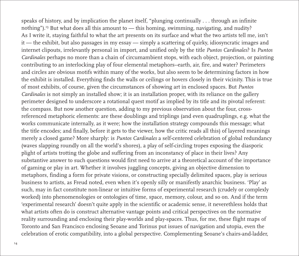speaks of history, and by implication the planet itself, "plunging continually . . . through an infinite nothing").13 But what does all this amount to — this homing, swimming, navigating, and nudity? As I write it, staying faithful to what the art presents on its surface and what the two artists tell me, isn't it — the exhibit, but also passages in my essay — simply a scattering of quirky, idiosyncratic images and internet clipouts, irrelevantly personal in import, and unified only by the title *Puntos Cardinales*? Is *Puntos Cardinales* perhaps no more than a chain of circumambient stops, with each object, projection, or painting contributing to an interlocking play of four elemental metaphors--earth, air, fire, and water? Perimeters and circles are obvious motifs within many of the works, but also seem to be determining factors in how the exhibit is installed. Everything finds the walls or ceilings or hovers closely in their vicinity. This is true of most exhibits, of course, given the circumstances of showing art in enclosed spaces. But *Puntos Cardinales* is not simply an installed show; it is an installation proper, with its reliance on the gallery perimeter designed to underscore a rotational quest motif as implied by its title and its pivotal referent: the compass. But now another question, adding to my previous observation about the four, crossreferenced metaphoric elements: are these doublings and triplings (and even quadruplings, e.g. what the works communicate internally, as it were; how the installation strategy compounds this message; what the title encodes; and finally, before it gets to the viewer, how the critic reads all this) of layered meanings merely a closed game? More sharply: is *Puntos Cardinales* a self-centered celebration of global redundancy (waves slapping roundly on all the world's shores), a play of self-circling tropes exposing the diasporic plight of artists trotting the globe and suffering from an inconstancy of place in their lives? Any substantive answer to such questions would first need to arrive at a theoretical account of the importance of gaming or play in art. Whether it involves juggling concepts, giving an objective dimension to metaphors, finding a form for private visions, or constructing specially delimited spaces, play is serious business to artists, as Freud noted, even when it's openly silly or manifestly anarchic business. 'Play' as such, may in fact constitute non-linear or intuitive forms of experimental research (crudely or complexly worked) into phenomenologies or ontologies of time, space, memory, colour, and so on. And if the term 'experimental research' doesn't quite apply in the scientific or academic sense, it neverethless holds that what artists often do is construct alternative vantage points and critical perspectives on the normative reality surrounding and enclosing their play-worlds and play-spaces. Thus, for me, these flight maps of Toronto and San Francisco enclosing Seoane and Torinus put issues of navigation and utopia, even the celebration of erotic compatibility, into a global perspective. Complementing Seoane's chairs-and-ladder,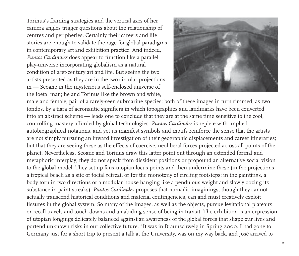Torinus's framing strategies and the vertical axes of her camera angles trigger questions about the relationship of centres and peripheries. Certainly their careers and life stories are enough to validate the rage for global paradigms in contemporary art and exhibition practice. And indeed, *Puntos Cardinales* does appear to function like a parallel play-universe incorporating globalism as a natural condition of 21st-century art and life. But seeing the two artists presented as they are in the two circular projections in — Seoane in the mysterious self-enclosed universe of the foetal man; he and Torinus like the brown and white,



male and female, pair of a rarely-seen submarine species; both of these images in turn rimmed, as two tondos, by a tiara of aeronautic signifiers in which topographies and landmarks have been converted into an abstract scheme — leads one to conclude that they are at the same time sensitive to the cool, controlling mastery afforded by global technologies. *Puntos Cardinales* is replete with implied autobiographical notations, and yet its manifest symbols and motifs reinforce the sense that the artists are not simply pursuing an inward investigation of their geographic displacements and career itineraries; but that they are seeing these as the effects of coercive, neoliberal forces projected across all points of the planet. Nevertheless, Seoane and Torinus draw this latter point out through an extended formal and metaphoric interplay; they do not speak from dissident positions or propound an alternative social vision to the global model. They set up faux-utopian locus points and then undermine these (in the projections, a tropical beach as a site of foetal retreat, or for the monotony of circling footsteps; in the paintings, a body torn in two directions or a modular house hanging like a pendulous weight and slowly oozing its substance in paint-streaks). *Puntos Cardinales* proposes that nomadic imaginings, though they cannot actually transcend historical conditions and material contingencies, can and must creatively exploit fissures in the global system. So many of the images, as well as the objects, pursue levitational plateaux or recall travels and touch-downs and an abiding sense of being in transit. The exhibition is an expression of utopian longings delicately balanced against an awareness of the global forces that shape our lives and portend unknown risks in our collective future. "It was in Braunschweig in Spring 2000. I had gone to Germany just for a short trip to present a talk at the University, was on my way back, and José arrived to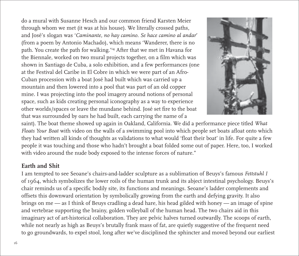do a mural with Susanne Hesch and our common friend Karsten Meier through whom we met (it was at his house). We literally crossed paths, and José's slogan was '*Caminante, no hay camino. Se hace camino al andar*' (from a poem by Antonio Machado), which means 'Wanderer, there is no path. You create the path for walking.'14 After that we met in Havana for the Biennale, worked on two mural projects together, on a film which was shown in Santiago de Cuba, a solo exhibition, and a few performances (one at the Festival del Caribe in El Cobre in which we were part of an Afro-Cuban procession with a boat José had built which was carried up a mountain and then lowered into a pool that was part of an old copper mine. I was projecting into the pool imagery around notions of personal space, such as kids creating personal iconography as a way to experience other worlds/spaces or leave the mundane behind. José set fire to the boat that was surrounded by oars he had built, each carrying the name of a



saint). The boat theme showed up again in Oakland, California. We did a performance piece titled *What Floats Your Boat* with video on the walls of a swimming pool into which people set boats afloat onto which they had written all kinds of thoughts as validations to what would 'float their boat' in life. For quite a few people it was touching and those who hadn't brought a boat folded some out of paper. Here, too, I worked with video around the nude body exposed to the intense forces of nature."

# **Earth and Shit**

I am tempted to see Seoane's chairs-and-ladder sculpture as a sublimation of Beuys's famous *Fettstuhl I* of 1964, which symbolizes the lower roils of the human trunk and its abject intestinal psychology. Beuys's chair reminds us of a specific bodily site, its functions and meanings. Seoane's ladder complements and offsets this downward orientation by symbolically growing from the earth and defying gravity. It also brings on me — as I think of Beuys cradling a dead hare, his head gilded with honey — an image of spine and vertebrae supporting the brainy, golden volleyball of the human head. The two chairs aid in this imaginary act of art-historical collaboration. They are pelvic halves turned outwardly. The scoops of earth, while not nearly as high as Beuys's brutally frank mass of fat, are quietly suggestive of the frequent need to go groundwards, to expel stool, long after we've disciplined the sphincter and moved beyond our earliest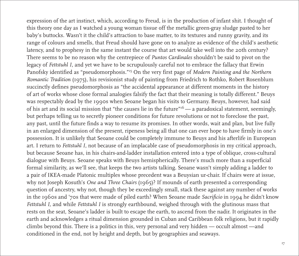expression of the art instinct, which, according to Freud, is in the production of infant shit. I thought of this theory one day as I watched a young woman tissue off the metallic green-gray sludge pasted to her baby's buttocks. Wasn't it the child's attraction to base matter, to its textures and runny gravity, and its range of colours and smells, that Freud should have gone on to analyze as evidence of the child's aesthetic latency, and to prophesy in the same instant the course that art would take well into the 20th century? There seems to be no reason why the centrepiece of *Puntos Cardinales* shouldn't be said to pivot on the legacy of *Fettstuhl I*, and yet we have to be scrupulously careful not to embrace the fallacy that Erwin Panofsky identified as "pseudomorphosis."15 On the very first page of *Modern Painting and the Northern Romantic Tradition* (1975), his revisionist study of painting from Friedrich to Rothko, Robert Rosenblum succinctly defines pseudomorphosis as "the accidental appearance at different moments in the history of art of works whose close formal analogies falsify the fact that their meaning is totally different." Beuys was respectably dead by the 1990s when Seoane began his visits to Germany. Beuys, however, had said of his art and its social mission that "the causes lie in the future" $16 - a$  paradoxical statement, seemingly, but perhaps telling us to secretly pioneer conditions for future revolutions or not to foreclose the past, any past, until the future finds a way to resume its promises. In other words, wait and plan, but live fully in an enlarged dimension of the present, ripeness being all that one can ever hope to have firmly in one's possession. It is unlikely that Seoane could be completely immune to Beuys and his afterlife in European art. I return to *Fettstuhl I*, not because of an implacable case of pseudomorphosis in my critical approach, but because Seoane has, in his chairs-and-ladder installation entered into a type of oblique, cross-cultural dialogue with Beuys. Seoane speaks with Beuys hemispherically. There's much more than a superficial formal similarity, as we'll see, that keeps the two artists talking. Seoane wasn't simply adding a ladder to a pair of IKEA-made Platonic multiples whose precedent was a Beuysian ur-chair. If chairs were at issue, why not Joseph Kosuth's *One and Three Chairs* (1965)? If mounds of earth presented a corresponding question of ancestry, why not, though they be exceedingly small, stack these against any number of works in the 1960s and '70s that were made of piled earth? When Seoane made *Sacrificio* in 1994 he didn't know *Fettstuhl I*, and while *Fettstuhl I* is strongly earthbound, weighed through with the glutinous mass that rests on the seat, Seoane's ladder is built to escape the earth, to ascend from the nadir. It originates in the earth and acknowledges a ritual dimension grounded in Cuban and Caribbean folk religions, but it rapidly climbs beyond this. There is a politics in this, very personal and very hidden — occult almost —and conditioned in the end, not by height and depth, but by geographies and seaways.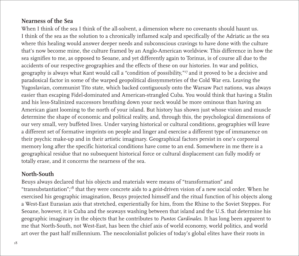# **Nearness of the Sea**

When I think of the sea I think of the all-solvent, a dimension where no covenants should haunt us. I think of the sea as the solution to a chronically inflamed scalp and specifically of the Adriatic as the sea where this healing would answer deeper needs and subconscious cravings to have done with the culture that's now become mine, the culture framed by an Anglo-American worldview. This difference in how the sea signifies to me, as opposed to Seoane, and yet differently again to Torinus, is of course all due to the accidents of our respective geographies and the effects of these on our histories. In war and politics, geography is always what Kant would call a "condition of possibility,"17 and it proved to be a decisive and paradoxical factor in some of the warped geopolitical dissymmetries of the Cold War era. Leaving the Yugoslavian, communist Tito state, which backed contiguously onto the Warsaw Pact nations, was always easier than escaping Fidel-dominated and American-strangled Cuba. You would think that having a Stalin and his less-Stalinized successors breathing down your neck would be more ominous than having an American giant looming to the north of your island. But history has shown just whose vision and muscle determine the shape of economic and political reality, and, through this, the psychological dimensions of our very small, very buffeted lives. Under varying historical or cultural conditions, geographies will leave a different set of formative imprints on people and linger and exercise a different type of immanence on their psychic make-up and in their artistic imaginary. Geographical factors persist in one's corporeal memory long after the specific historical conditions have come to an end. Somewhere in me there is a geographical residue that no subsequent historical force or cultural displacement can fully modify or totally erase, and it concerns the nearness of the sea.

## **North-South**

Beuys always declared that his objects and materials were means of "transformation" and "transubstantiation";18 that they were concrete aids to a *geist*-driven vision of a new social order. When he exercised his geographic imagination, Beuys projected himself and the ritual function of his objects along a West-East Eurasian axis that stretched, experientially for him, from the Rhine to the Soviet Steppes. For Seoane, however, it is Cuba and the seaways washing between that island and the U.S. that determine his geographic imaginary in the objects that he contributes to *Puntos Cardinales*. It has long been apparent to me that North-South, not West-East, has been the chief axis of world economy, world politics, and world art over the past half millennium. The neocolonialist policies of today's global elites have their roots in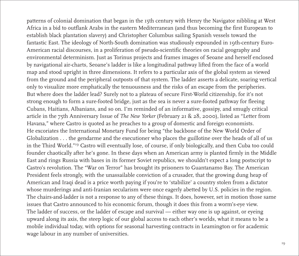patterns of colonial domination that began in the 15th century with Henry the Navigator nibbling at West Africa in a bid to outflank Arabs in the eastern Mediterranean (and thus becoming the first European to establish black plantation slavery) and Christopher Columbus sailing Spanish vessels toward the fantastic East. The ideology of North-South domination was studiously expounded in 19th-century Euro-American racial discourses, in a proliferation of pseudo-scientific theories on racial geography and environmental determinism. Just as Torinus projects and frames images of Seoane and herself enclosed by navigational air-charts, Seoane's ladder is like a longitudinal pathway lifted from the face of a world map and stood upright in three dimensions. It refers to a particular axis of the global system as viewed from the ground and the peripheral outposts of that system. The ladder asserts a delicate, soaring vertical only to visualize more emphatically the tenuousness and the risks of an escape from the peripheries. But where does the ladder lead? Surely not to a plateau of secure First-World citizenship, for it's not strong enough to form a sure-footed bridge, just as the sea is never a sure-footed pathway for fleeing Cubans, Haitians, Albanians, and so on. I'm reminded of an informative, gossipy, and smugly critical article in the 75th Anniversary Issue of *The New Yorker* (February 21 & 28, 2000), listed as "Letter from Havana," where Castro is quoted as he preaches to a group of domestic and foreign economists. He excoriates the International Monetary Fund for being "the backbone of the New World Order of Globalization . . . the gendarme and the executioner who places the guillotine over the heads of all of us in the Third World."19 Castro will eventually lose, of course, if only biologically, and then Cuba too could founder chaotically after he's gone. In these days when an American army is planted firmly in the Middle East and rings Russia with bases in its former Soviet republics, we shouldn't expect a long postscript to Castro's revolution. The "War on Terror" has brought its prisoners to Guantanamo Bay. The American President feels strongly, with the unassailable conviction of a crusader, that the growing dung heap of American and Iraqi dead is a price worth paying if you're to 'stabilize' a country stolen from a dictator whose murderings and anti-Iranian secularism were once eagerly abetted by U.S. policies in the region. The chairs-and-ladder is not a response to any of these things. It does, however, set in motion those same issues that Castro announced to his economic forum, though it does this from a worm's-eye view. The ladder of success, or the ladder of escape and survival — either way one is up against, or eyeing upward along its axis, the steep logic of our global access to each other's worlds, what it means to be a mobile individual today, with options for seasonal harvesting contracts in Leamington or for academic wage labour in any number of universities.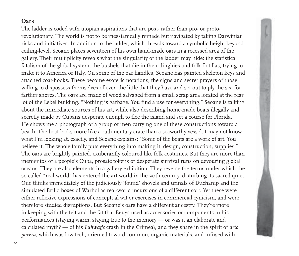#### **Oars**

The ladder is coded with utopian aspirations that are post- rather than pro- or protorevolutionary. The world is not to be messianically remade but navigated by taking Darwinian risks and initiatives. In addition to the ladder, which threads toward a symbolic height beyond ceiling-level, Seoane places seventeen of his own hand-made oars in a recessed area of the gallery. Their multiplicity reveals what the singularity of the ladder may hide: the statistical fatalism of the global system, the bushels that die in their dinghies and folk flotillas, trying to make it to America or Italy. On some of the oar handles, Seoane has painted skeleton keys and attached coat-hooks. These become esoteric notations, the signs and secret prayers of those willing to dispossess themselves of even the little that they have and set out to ply the sea for farther shores. The oars are made of wood salvaged from a small scrap area located at the rear lot of the Lebel building. "Nothing is garbage. You find a use for everything." Seoane is talking about the immediate sources of his art, while also describing home-made boats illegally and secretly made by Cubans desperate enough to flee the island and set a course for Florida. He shows me a photograph of a group of men carrying one of these constructions toward a beach. The boat looks more like a rudimentary crate than a seaworthy vessel. I may not know what I'm looking at, exactly, and Seoane explains: "Some of the boats are a work of art. You believe it. The whole family puts everything into making it, design, construction, supplies." The oars are brightly painted, exuberantly coloured like folk costumes. But they are more than mementos of a people's Cuba, prosaic tokens of desperate survival runs on devouring global oceans. They are also elements in a gallery exhibition. They reverse the terms under which the so-called "real world" has entered the art world in the 20th century, disturbing its sacred quiet. One thinks immediately of the judiciously 'found' shovels and urinals of Duchamp and the simulated Brillo boxes of Warhol as real-world incursions of a different sort. Yet these were either reflexive expressions of conceptual wit or exercises in commercial cynicism, and were therefore studied disruptions. But Seoane's oars have a different ancestry. They're more in keeping with the felt and the fat that Beuys used as accessories or components in his performances (staying warm, staying true to the memory — or was it an elaborate and calculated myth? — of his *Luftwaffe* crash in the Crimea), and they share in the spirit of *arte povera*, which was low-tech, oriented toward common, organic materials, and infused with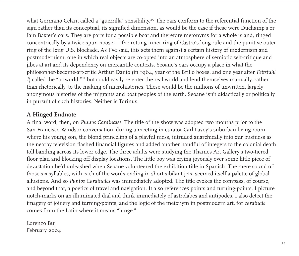what Germano Celant called a "guerrilla" sensibility.<sup>20</sup> The oars conform to the referential function of the sign rather than its conceptual, its signified dimension, as would be the case if these were Duchamp's or Iain Baxter's oars. They are parts for a possible boat and therefore metonyms for a whole island, ringed concentrically by a twice-spun noose — the rotting inner ring of Castro's long rule and the punitive outer ring of the long U.S. blockade. As I've said, this sets them against a certain history of modernism and postmodernism, one in which real objects are co-opted into an atmosphere of semiotic self-critique and jibes at art and its dependency on mercantile contexts. Seoane's oars occupy a place in what the philosopher-become-art-critic Arthur Danto (in 1964, year of the Brillo boxes, and one year after *Fettstuhl I*) called the "artworld,"21 but could easily re-enter the real world and lend themselves manually, rather than rhetorically, to the making of microhistories. These would be the millions of unwritten, largely anonymous histories of the migrants and boat peoples of the earth. Seoane isn't didactically or politically in pursuit of such histories. Neither is Torinus.

## **A Hinged Endnote**

A final word, then, on *Puntos Cardinales*. The title of the show was adopted two months prior to the San Francisco-Windsor conversation, during a meeting in curator Carl Lavoy's suburban living room, where his young son, the blond princeling of a playful mess, intruded anarchically into our business as the nearby television flashed financial figures and added another handful of integers to the colonial death toll banding across its lower edge. The three adults were studying the Thames Art Gallery's two-tiered floor plan and blocking off display locations. The little boy was crying joyously over some little piece of devastation he'd unleashed when Seoane volunteered the exhibition title in Spanish. The mere sound of those six syllables, with each of the words ending in short sibilant jets, seemed itself a palette of global allusions. And so *Puntos Cardinales* was immediately adopted. The title evokes the compass, of course, and beyond that, a poetics of travel and navigation. It also references points and turning-points. I picture notch-marks on an illuminated dial and think immediately of astrolabes and antipodes. I also detect the imagery of joinery and turning-points, and the logic of the metonym in postmodern art, for *cardinale* comes from the Latin where it means "hinge."

Lorenzo Buj February 2004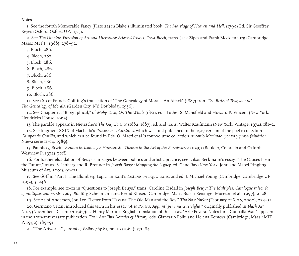#### **Notes**

1. See the fourth Memorable Fancy (Plate 22) in Blake's illuminated book, *The Marriage of Heaven and Hell*. (1790) Ed. Sir Geoffrey Keyes (Oxford: Oxford UP, 1975).

2. See *The Utopian Function of Art and Literature: Selected Essays, Ernst Bloch*, trans. Jack Zipes and Frank Mecklenburg (Cambridge, Mass.: MIT P, 1988), 278–92.

3. Bloch, 286.

4. Bloch, 287.

5. Bloch, 286.

6. Bloch, 286.

7. Bloch, 286.

8. Bloch, 286.

9. Bloch, 286.

10. Bloch, 286.

11. See 160 of Francis Golffing's translation of "The Genealogy of Morals: An Attack" (1887) from *The Birth of Tragedy* and *The Genealogy of Morals*. (Garden City, NY: Doubleday, 1956).

12. See Chapter 12, "Biographical," of *Moby-Dick, Or, The Whale* (1851), eds. Luther S. Mansfield and Howard P. Vincent (New York: Hendricks House, 1962).

13. The parable appears in Nietzsche's *The Gay Science* (1882, 1887), ed. and trans. Walter Kaufmann (New York: Vintage, 1974), 181–2.

14. See fragment XXIX of Machado's *Proverbios y Cantares*, which was first published in the 1917 version of the poet's collection *Campos de Castilla*, and which can be found in Eds. O. Macri et al.'s four-volume collection *Antonio Machado: poesía y prosa* (Madrid: Nueva serie 11–14, 1989).

15. Panofsky, Erwin. *Studies in Iconology: Humanistic Themes in the Art of the Renaissance* (1939) (Boulder, Colorado and Oxford: Westview P, 1972), 70ff.

16. For further elucidation of Beuys's linkages between politics and artistic practice, see Lukas Beckmann's essay, "The Causes Lie in the Future," trans. S. Linberg and R. Brenner in *Joseph Beuys: Mapping the Legacy*, ed. Gene Ray (New York: John and Mabel Ringling Museum of Art, 2001), 91–111.

17. See 66ff in "Part I: The Blomberg Logic" in Kant's *Lectures on Logic*, trans. and ed. J. Michael Young (Cambridge: Cambridge UP, 1992), 5–246.

18. For example, see 11–12 in "Questions to Joseph Beuys," trans. Caroline Tisdall in *Joseph Beuys: The Multiples. Catalogue raisonée of multiples and prints, 1965–86*. Jörg Schellmann and Bernd Klüser. (Cambridge, Mass: Busch-Reisinger Museum et al., 1997), 9–28.

19. See 24 of Anderson, Jon Lee. "Letter from Havana: The Old Man and the Boy." *The New Yorker* (February 21 & 28, 2000), 224–31.

20. Germano Celant introduced this term in his essay "*Arte Povera: Appunti per una Guerriglia*," originally published in *Flash Art* No. 5 (November–December 1967): 2. Henry Martin's English translation of this essay, "Arte Povera: Notes for a Guerrilla War," appears in the 20th-anniversary publication *Flash Art: Two Decades of History*, eds. Giancarlo Politi and Helena Kontova (Cambridge, Mass.: MIT P, 1990), 189–91.

21. "The Artworld." *Journal of Philosophy* 61, no. 19 (1964): 571–84.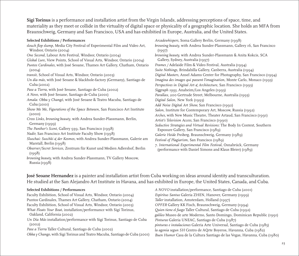**Sigi Torinus** is a performance and installation artist from the Virgin Islands, addressing perceptions of space, time, and materiality as they meet or collide in the virtuality of digital space or physicality of a geographic location. She holds an MFA from Braunschweig, Germany and San Francisco, USA and has exhibitied in Europe, Australia, and the United States.

| <b>Selected Exhibitions / Performances</b>                                                            | ŀ              |
|-------------------------------------------------------------------------------------------------------|----------------|
| slouch flop slump, Media City Festival of Experimental Film and Video Art,<br>Windsor, Ontario (2004) | h              |
| One Second, Labour Arts Festival, Windsor, Ontario (2004)                                             | b              |
| Global Lure, View Points, School of Visual Arts, Windsor, Ontario (2004)                              |                |
| Puntos Cardinales, with José Seoane, Thames Art Gallery, Chatham, Ontario<br>(2004)                   | I<br>S         |
| transit, School of Visual Arts, Windsor, Ontario (2003)                                               | $\overline{I}$ |
| Un día más, with José Seoane & blackhole-factory (Germany), Santiago de<br>Cuba (2002)                | I<br>I         |
| Pase a Tierra, with José Seoane, Santiago de Cuba (2002)                                              | S              |
| A Novo, with José Seoane, Santiago de Cuba (2001)                                                     | I              |
| Amala: Obba y Changó, with José Seoane & Teatro Macuba, Santiago de<br>Cuba $(2001)$                  | I<br>ł         |
| Show Me Me, Figurations of the Space Between, San Francisco Art Institute<br>(2000)                   | Ś<br>ł         |
| Cross Links, browsing beauty, with Andrea Sunder-Plassmann, Berlin,<br>Germany (1999)                 | k<br>S         |
| The Panther's Scent, Gallery 939, San Francisco (1998)                                                |                |
| Nadir, San Francisco Art Institute Faculty Show (1998)                                                | $\overline{C}$ |
| Sluschai: Suschki & der Kosmos, with Andrea Sunder-Plassmann, Galerie am<br>Marstall, Berlin (1998)   | F<br>7         |
| Observer/Secret Services, Zentrum für Kunst und Medien Adlershof, Berlin<br>(1998)                    |                |
| browsing beauty, with Andrea Sunder-Plassmann, TV Gallery Moscow,<br>Russia (1998)                    |                |

*Arcadewhispers,* Soma Gallery Berlin, Germany (1998) *browsing beauty,* with Andrea Sunder-Plassmann, Gallery 16, San Francisco (1997) *browsing beauty,* with Andrea Sunder-Plassmann & Anita Kokcis, SCA Gallery, Sydney, Australia (1997) *Frames /* Adelaide Film & Video Festival, Australia (1994) *Suite Nothings,* Brindabilla Gallery, Canberra, Australia (1994) *Digital Masters,* Ansel Adams Center for Photography, San Francisco (1994) *Imagina des images qui passent l'imagination,* Monte Carlo, Monaco (1993) *Perspectives in Digital Art & Architecture,* San Francisco (1993) *Siggraph 1993,* Anaheim/Los Angeles (1993) *Parallax,* 200 Gertrude Street, Melbourne, Australia (1993) *Digital Salon,* New York (1993) *Add Noise Digital Art Show,* San Francisco (1992) *Salon,* Institute for Contemporary Art, Moscow, Russia (1992) *Arches,* with New Music Theatre, Theater Artaud, San Francisco (1991) *Artist's Television Access,* San Francisco (1990) *Seductive Strategies and Virtual Revisions:* The Body In Context, Southern Exposure Gallery, San Francisco (1989) *Galerie Heide Freiberg,* Braunschweig, Germany (1989) *Festival of Plagiarism,* San Francisco (1989) *7. International Experimental Film Festival,* Osnabrück, Germany (performance with Daniel Simons and Klaus Bleier) (1989)

**José Seoane Hernandez** is a painter and installation artist from Cuba working on ideas around identity and transculturation. He studied at the San Alejandro Art Institute in Havana, and has exhibited in Europe, the United States, Canada, and Cuba.

#### **Selected Exhibitions / Performances**

Faculty Exhibition, School of Visual Arts, Windsor, Ontario (2004) Puntos Cardinales, Thames Art Gallery, Chatham, Ontario (2004) Faculty Exhibition, School of Visual Arts, Windsor, Ontario (2003) *What Floats Your Boat*, installation/performance with Sigi Torinus, Oakland, California (2002)

*Un Día Más* installation/performance with Sigi Torinus, Santiago de Cuba (2002)

*Pase a Tierra* Taller Cultural, Santiago de Cuba (2002)

*Obba y Chango*, with Sigi Torinus and Teatro Macuba, Santiago de Cuba (2001)

*A NOVO* installation/performance, Santiago de Cuba (2001) *Espiritus Santus* Galeria ZHEN, Hanover, Germany (1999) *Taller* installation, Amsterdam, Holland (1997) *OPFER* Gallery KK Fisch, Braunschweig, Germany (1994) *Quien tiene el fuego* Taller Cultural, Santiago de Cuba (1992) *galileo* Museo de arte Moderno, Santo Domingo, Dominican Republic (1991) *Pinturas* Galeria UNEAC, Santiago de Cuba (1987) *pinturas e instalaciones* Galeria Arte Universal, Santiago de Cuba (1985) *la agonia segun SH* Centro de AQrte Boyeros, Havanna, Cuba (1982) *Buen Humor* Casa de la Cultura Santiago de las Vegas, Havanna, Cuba (1980)